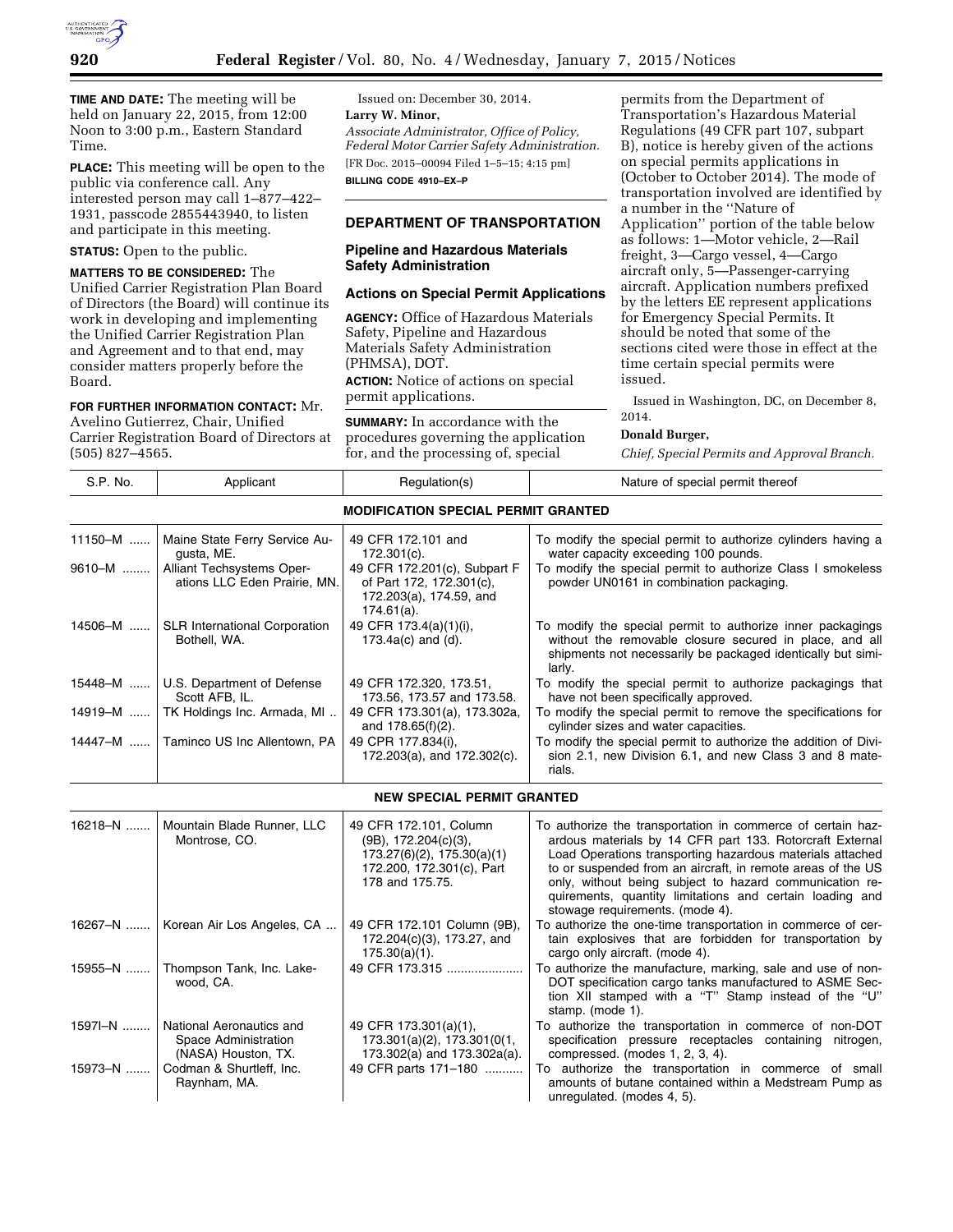

**TIME AND DATE:** The meeting will be held on January 22, 2015, from 12:00 Noon to 3:00 p.m., Eastern Standard Time.

**PLACE:** This meeting will be open to the public via conference call. Any interested person may call 1–877–422– 1931, passcode 2855443940, to listen and participate in this meeting.

### **STATUS:** Open to the public.

**MATTERS TO BE CONSIDERED:** The Unified Carrier Registration Plan Board of Directors (the Board) will continue its work in developing and implementing the Unified Carrier Registration Plan and Agreement and to that end, may consider matters properly before the Board.

#### **FOR FURTHER INFORMATION CONTACT:** Mr.

Avelino Gutierrez, Chair, Unified Carrier Registration Board of Directors at (505) 827–4565.

Issued on: December 30, 2014. **Larry W. Minor,**  *Associate Administrator, Office of Policy, Federal Motor Carrier Safety Administration.*  [FR Doc. 2015–00094 Filed 1–5–15; 4:15 pm] **BILLING CODE 4910–EX–P** 

# **DEPARTMENT OF TRANSPORTATION**

## **Pipeline and Hazardous Materials Safety Administration**

### **Actions on Special Permit Applications**

**AGENCY:** Office of Hazardous Materials Safety, Pipeline and Hazardous Materials Safety Administration (PHMSA), DOT. **ACTION:** Notice of actions on special permit applications.

**SUMMARY:** In accordance with the procedures governing the application for, and the processing of, special

permits from the Department of Transportation's Hazardous Material Regulations (49 CFR part 107, subpart B), notice is hereby given of the actions on special permits applications in (October to October 2014). The mode of transportation involved are identified by a number in the ''Nature of Application'' portion of the table below as follows: 1—Motor vehicle, 2—Rail freight, 3—Cargo vessel, 4—Cargo aircraft only, 5—Passenger-carrying aircraft. Application numbers prefixed by the letters EE represent applications for Emergency Special Permits. It should be noted that some of the sections cited were those in effect at the time certain special permits were issued.

Issued in Washington, DC, on December 8, 2014.

#### **Donald Burger,**

*Chief, Special Permits and Approval Branch.* 

| S.P. No. | Applicant                                                               | Regulation(s)                                                                                                                            | Nature of special permit thereof                                                                                                                                                                                                                                                                                                                                                                              |
|----------|-------------------------------------------------------------------------|------------------------------------------------------------------------------------------------------------------------------------------|---------------------------------------------------------------------------------------------------------------------------------------------------------------------------------------------------------------------------------------------------------------------------------------------------------------------------------------------------------------------------------------------------------------|
|          |                                                                         | <b>MODIFICATION SPECIAL PERMIT GRANTED</b>                                                                                               |                                                                                                                                                                                                                                                                                                                                                                                                               |
| 11150-M  | Maine State Ferry Service Au-<br>qusta, ME.                             | 49 CFR 172.101 and<br>$172.301(c)$ .                                                                                                     | To modify the special permit to authorize cylinders having a<br>water capacity exceeding 100 pounds.                                                                                                                                                                                                                                                                                                          |
| 9610-M   | Alliant Techsystems Oper-<br>ations LLC Eden Prairie, MN.               | 49 CFR 172.201(c), Subpart F<br>of Part 172, 172.301(c),<br>172.203(a), 174.59, and<br>$174.61(a)$ .                                     | To modify the special permit to authorize Class I smokeless<br>powder UN0161 in combination packaging.                                                                                                                                                                                                                                                                                                        |
| 14506-M  | <b>SLR International Corporation</b><br>Bothell, WA.                    | 49 CFR 173.4(a)(1)(i),<br>$173.4a(c)$ and (d).                                                                                           | To modify the special permit to authorize inner packagings<br>without the removable closure secured in place, and all<br>shipments not necessarily be packaged identically but simi-<br>larly.                                                                                                                                                                                                                |
| 15448-M  | U.S. Department of Defense<br>Scott AFB, IL.                            | 49 CFR 172.320, 173.51,<br>173.56, 173.57 and 173.58.                                                                                    | To modify the special permit to authorize packagings that<br>have not been specifically approved.                                                                                                                                                                                                                                                                                                             |
| 14919-M  | TK Holdings Inc. Armada, MI                                             | 49 CFR 173.301(a), 173.302a,<br>and 178.65(f)(2).                                                                                        | To modify the special permit to remove the specifications for<br>cylinder sizes and water capacities.                                                                                                                                                                                                                                                                                                         |
| 14447-M  | Taminco US Inc Allentown, PA                                            | 49 CPR 177.834(i),<br>172.203(a), and 172.302(c).                                                                                        | To modify the special permit to authorize the addition of Divi-<br>sion 2.1, new Division 6.1, and new Class 3 and 8 mate-<br>rials.                                                                                                                                                                                                                                                                          |
|          |                                                                         | <b>NEW SPECIAL PERMIT GRANTED</b>                                                                                                        |                                                                                                                                                                                                                                                                                                                                                                                                               |
| 16218-N  | Mountain Blade Runner, LLC<br>Montrose, CO.                             | 49 CFR 172.101, Column<br>$(9B)$ , 172.204 $(c)(3)$ ,<br>$173.27(6)(2)$ , $175.30(a)(1)$<br>172.200, 172.301(c), Part<br>178 and 175.75. | To authorize the transportation in commerce of certain haz-<br>ardous materials by 14 CFR part 133. Rotorcraft External<br>Load Operations transporting hazardous materials attached<br>to or suspended from an aircraft, in remote areas of the US<br>only, without being subject to hazard communication re-<br>quirements, quantity limitations and certain loading and<br>stowage requirements. (mode 4). |
| 16267-N  | Korean Air Los Angeles, CA                                              | 49 CFR 172.101 Column (9B),<br>172.204(c)(3), 173.27, and<br>$175.30(a)(1)$ .                                                            | To authorize the one-time transportation in commerce of cer-<br>tain explosives that are forbidden for transportation by<br>cargo only aircraft. (mode 4).                                                                                                                                                                                                                                                    |
| 15955-N  | Thompson Tank, Inc. Lake-<br>wood, CA.                                  | 49 CFR 173.315                                                                                                                           | To authorize the manufacture, marking, sale and use of non-<br>DOT specification cargo tanks manufactured to ASME Sec-<br>tion XII stamped with a "T" Stamp instead of the "U"<br>stamp. (mode 1).                                                                                                                                                                                                            |
| 1597-N   | National Aeronautics and<br>Space Administration<br>(NASA) Houston, TX. | 49 CFR 173.301(a)(1),<br>$173.301(a)(2)$ , $173.301(0(1)$ ,<br>173.302(a) and 173.302a(a).                                               | To authorize the transportation in commerce of non-DOT<br>specification pressure receptacles containing nitrogen,<br>compressed. (modes 1, 2, 3, 4).                                                                                                                                                                                                                                                          |
| 15973-N  | Codman & Shurtleff, Inc.<br>Raynham, MA.                                | 49 CFR parts 171-180                                                                                                                     | To authorize the transportation in commerce of small<br>amounts of butane contained within a Medstream Pump as<br>unregulated. (modes 4, 5).                                                                                                                                                                                                                                                                  |